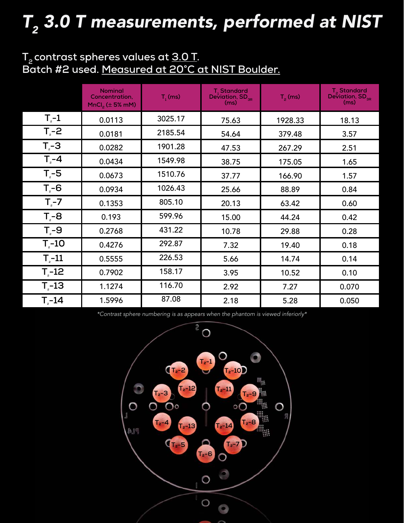# ${\sf T}_2$  3.0 T measurements, performed at NIST

# **T2 contrast spheres values at 3.0 T. Batch #2 used. Measured at 20°C at NIST Boulder.**

|                    | <b>Nominal</b><br>Concentration,<br>$MnCl2$ ( $\pm$ 5% mM) | $T1$ (ms) | T <sub>1</sub> Standard<br>Deviation, $SD_{_{\mathrm{3R}}}$<br>(ms) | $T2$ (ms) | T <sub>2</sub> Standard<br>Deviation, $SD_{_{\mathrm{3R}}}$<br>(ms) |
|--------------------|------------------------------------------------------------|-----------|---------------------------------------------------------------------|-----------|---------------------------------------------------------------------|
| $T_{\rm e}$ -1     | 0.0113                                                     | 3025.17   | 75.63                                                               | 1928.33   | 18.13                                                               |
| $T_{e}$ -2         | 0.0181                                                     | 2185.54   | 54.64                                                               | 379.48    | 3.57                                                                |
| $T - 3$            | 0.0282                                                     | 1901.28   | 47.53                                                               | 267.29    | 2.51                                                                |
| $T_{\rm e}$ -4     | 0.0434                                                     | 1549.98   | 38.75                                                               | 175.05    | 1.65                                                                |
| $T_{\rm e}$ -5     | 0.0673                                                     | 1510.76   | 37.77                                                               | 166.90    | 1.57                                                                |
| $T - 6$            | 0.0934                                                     | 1026.43   | 25.66                                                               | 88.89     | 0.84                                                                |
| $T_{\rm e}$ -7     | 0.1353                                                     | 805.10    | 20.13                                                               | 63.42     | 0.60                                                                |
| $T_{e}$ -8         | 0.193                                                      | 599.96    | 15.00                                                               | 44.24     | 0.42                                                                |
| $T - 9$            | 0.2768                                                     | 431.22    | 10.78                                                               | 29.88     | 0.28                                                                |
| $T_{\text{e}}$ -10 | 0.4276                                                     | 292.87    | 7.32                                                                | 19.40     | 0.18                                                                |
| $T_{\text{e}}$ -11 | 0.5555                                                     | 226.53    | 5.66                                                                | 14.74     | 0.14                                                                |
| $T2-12$            | 0.7902                                                     | 158.17    | 3.95                                                                | 10.52     | 0.10                                                                |
| $T_{\text{e}}$ -13 | 1.1274                                                     | 116.70    | 2.92                                                                | 7.27      | 0.070                                                               |
| $T - 14$           | 1.5996                                                     | 87.08     | 2.18                                                                | 5.28      | 0.050                                                               |

\*Contrast sphere numbering is as appears when the phantom is viewed inferiorly\*

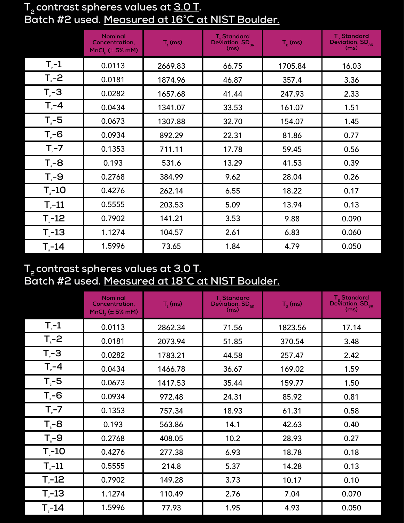#### **T2 contrast spheres values at 3.0 T. Batch #2 used. Measured at 16°C at NIST Boulder.**

|                    | <b>Nominal</b><br>Concentration,<br>$MnCl2$ ( $\pm$ 5% mM) | $T1$ (ms) | T <sub>1</sub> Standard<br>Deviation, $SD_{_{3R}}$<br>(ms) | $T_p$ (ms) | $T_{\rm g}$ Standard<br>Deviation, SD <sub>3R</sub><br>(ms) |
|--------------------|------------------------------------------------------------|-----------|------------------------------------------------------------|------------|-------------------------------------------------------------|
| $T_{2}$ -1         | 0.0113                                                     | 2669.83   | 66.75                                                      | 1705.84    | 16.03                                                       |
| $T_{2}$ -2         | 0.0181                                                     | 1874.96   | 46.87                                                      | 357.4      | 3.36                                                        |
| $T - 3$            | 0.0282                                                     | 1657.68   | 41.44                                                      | 247.93     | 2.33                                                        |
| $T_{e}$ -4         | 0.0434                                                     | 1341.07   | 33.53                                                      | 161.07     | 1.51                                                        |
| $T - 5$            | 0.0673                                                     | 1307.88   | 32.70                                                      | 154.07     | 1.45                                                        |
| $T - 6$            | 0.0934                                                     | 892.29    | 22.31                                                      | 81.86      | 0.77                                                        |
| $T2-7$             | 0.1353                                                     | 711.11    | 17.78                                                      | 59.45      | 0.56                                                        |
| $T - 8$            | 0.193                                                      | 531.6     | 13.29                                                      | 41.53      | 0.39                                                        |
| $T_{e}$ -9         | 0.2768                                                     | 384.99    | 9.62                                                       | 28.04      | 0.26                                                        |
| $T - 10$           | 0.4276                                                     | 262.14    | 6.55                                                       | 18.22      | 0.17                                                        |
| $T - 11$           | 0.5555                                                     | 203.53    | 5.09                                                       | 13.94      | 0.13                                                        |
| $T_{\circ}$ -12    | 0.7902                                                     | 141.21    | 3.53                                                       | 9.88       | 0.090                                                       |
| $T_{\text{e}}$ -13 | 1.1274                                                     | 104.57    | 2.61                                                       | 6.83       | 0.060                                                       |
| $T - 14$           | 1.5996                                                     | 73.65     | 1.84                                                       | 4.79       | 0.050                                                       |

## **T2 contrast spheres values at 3.0 T. Batch #2 used. Measured at 18°C at NIST Boulder.**

|                    | <b>Nominal</b><br>Concentration,<br>MnCl <sub>2</sub> ( $\pm$ 5% mM) | $T1$ (ms) | T <sub>1</sub> Standard<br>Deviation, $SD_{_{3R}}$<br>(ms) | $T_p$ (ms) | T <sub>2</sub> Standard<br>Deviation, $SD_{_{\mathrm{3R}}}$<br>(ms) |
|--------------------|----------------------------------------------------------------------|-----------|------------------------------------------------------------|------------|---------------------------------------------------------------------|
| $T_{2}$ -1         | 0.0113                                                               | 2862.34   | 71.56                                                      | 1823.56    | 17.14                                                               |
| $T_{e}$ -2         | 0.0181                                                               | 2073.94   | 51.85                                                      | 370.54     | 3.48                                                                |
| $Tz - 3$           | 0.0282                                                               | 1783.21   | 44.58                                                      | 257.47     | 2.42                                                                |
| $T - 4$            | 0.0434                                                               | 1466.78   | 36.67                                                      | 169.02     | 1.59                                                                |
| $T_{e}$ -5         | 0.0673                                                               | 1417.53   | 35.44                                                      | 159.77     | 1.50                                                                |
| $T - 6$            | 0.0934                                                               | 972.48    | 24.31                                                      | 85.92      | 0.81                                                                |
| $T_{\rm e}$ -7     | 0.1353                                                               | 757.34    | 18.93                                                      | 61.31      | 0.58                                                                |
| $T_{e}$ -8         | 0.193                                                                | 563.86    | 14.1                                                       | 42.63      | 0.40                                                                |
| $T - 9$            | 0.2768                                                               | 408.05    | 10.2                                                       | 28.93      | 0.27                                                                |
| $T_{\text{e}}$ -10 | 0.4276                                                               | 277.38    | 6.93                                                       | 18.78      | 0.18                                                                |
| $T_{\text{e}}$ -11 | 0.5555                                                               | 214.8     | 5.37                                                       | 14.28      | 0.13                                                                |
| $T_{\circ}$ -12    | 0.7902                                                               | 149.28    | 3.73                                                       | 10.17      | 0.10                                                                |
| $T_{\text{e}}$ -13 | 1.1274                                                               | 110.49    | 2.76                                                       | 7.04       | 0.070                                                               |
| $T - 14$           | 1.5996                                                               | 77.93     | 1.95                                                       | 4.93       | 0.050                                                               |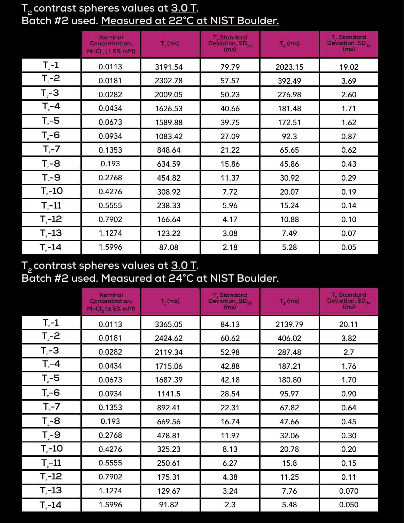# **T2 contrast spheres values at 3.0 T. Batch #2 used. Measured at 22°C at NIST Boulder.**

|              | <b>Nominal</b><br>Concentration,<br>$MnCl2$ ( $\pm$ 5% mM) | $T1$ (ms) | T <sub>1</sub> Standard<br>Deviation, $SD_{3R}$ (ms) | $T_p$ (ms) | T <sub>2</sub> Standard<br>Deviation, SD <sub>3R</sub><br>(ms) |
|--------------|------------------------------------------------------------|-----------|------------------------------------------------------|------------|----------------------------------------------------------------|
| $T_{2}$ -1   | 0.0113                                                     | 3191.54   | 79.79                                                | 2023.15    | 19.02                                                          |
| $Tz-2$       | 0.0181                                                     | 2302.78   | 57.57                                                | 392.49     | 3.69                                                           |
| $T_{e}$ -3   | 0.0282                                                     | 2009.05   | 50.23                                                | 276.98     | 2.60                                                           |
| $T - 4$      | 0.0434                                                     | 1626.53   | 40.66                                                | 181.48     | 1.71                                                           |
| $T - 5$      | 0.0673                                                     | 1589.88   | 39.75                                                | 172.51     | 1.62                                                           |
| $T_{e}$ -6   | 0.0934                                                     | 1083.42   | 27.09                                                | 92.3       | 0.87                                                           |
| $Tz-7$       | 0.1353                                                     | 848.64    | 21.22                                                | 65.65      | 0.62                                                           |
| $T - 8$      | 0.193                                                      | 634.59    | 15.86                                                | 45.86      | 0.43                                                           |
| $T_{e}$ -9   | 0.2768                                                     | 454.82    | 11.37                                                | 30.92      | 0.29                                                           |
| $T - 10$     | 0.4276                                                     | 308.92    | 7.72                                                 | 20.07      | 0.19                                                           |
| $T - 11$     | 0.5555                                                     | 238.33    | 5.96                                                 | 15.24      | 0.14                                                           |
| $T_{2} - 12$ | 0.7902                                                     | 166.64    | 4.17                                                 | 10.88      | 0.10                                                           |
| $T - 13$     | 1.1274                                                     | 123.22    | 3.08                                                 | 7.49       | 0.07                                                           |
| $T - 14$     | 1.5996                                                     | 87.08     | 2.18                                                 | 5.28       | 0.05                                                           |

## **T2 contrast spheres values at 3.0 T. Batch #2 used. Measured at 24°C at NIST Boulder.**

|                    | <b>Nominal</b><br>Concentration,<br>$MnCl2$ ( $\pm$ 5% mM) | $T1$ (ms) | T <sub>1</sub> Standard<br>Deviation, SD <sub>3R</sub><br>(ms) | $T_p$ (ms) | T <sub>2</sub> Standard<br>Deviation, $SD_{_{3R}}$<br>(ms) |
|--------------------|------------------------------------------------------------|-----------|----------------------------------------------------------------|------------|------------------------------------------------------------|
| $T_{2}$ -1         | 0.0113                                                     | 3365.05   | 84.13                                                          | 2139.79    | 20.11                                                      |
| $T_{e}$ -2         | 0.0181                                                     | 2424.62   | 60.62                                                          | 406.02     | 3.82                                                       |
| $T_{e}$ -3         | 0.0282                                                     | 2119.34   | 52.98                                                          | 287.48     | 2.7                                                        |
| $T - 4$            | 0.0434                                                     | 1715.06   | 42.88                                                          | 187.21     | 1.76                                                       |
| $T_{e}$ -5         | 0.0673                                                     | 1687.39   | 42.18                                                          | 180.80     | 1.70                                                       |
| $T_{e}$ -6         | 0.0934                                                     | 1141.5    | 28.54                                                          | 95.97      | 0.90                                                       |
| $T_{\rm g}$ -7     | 0.1353                                                     | 892.41    | 22.31                                                          | 67.82      | 0.64                                                       |
| $T_{e}$ -8         | 0.193                                                      | 669.56    | 16.74                                                          | 47.66      | 0.45                                                       |
| $T_{e}$ -9         | 0.2768                                                     | 478.81    | 11.97                                                          | 32.06      | 0.30                                                       |
| $T_{\text{e}}$ -10 | 0.4276                                                     | 325.23    | 8.13                                                           | 20.78      | 0.20                                                       |
| $T_{\text{e}}$ -11 | 0.5555                                                     | 250.61    | 6.27                                                           | 15.8       | 0.15                                                       |
| $T_{\text{e}}$ -12 | 0.7902                                                     | 175.31    | 4.38                                                           | 11.25      | 0.11                                                       |
| $T - 13$           | 1.1274                                                     | 129.67    | 3.24                                                           | 7.76       | 0.070                                                      |
| $T - 14$           | 1.5996                                                     | 91.82     | 2.3                                                            | 5.48       | 0.050                                                      |